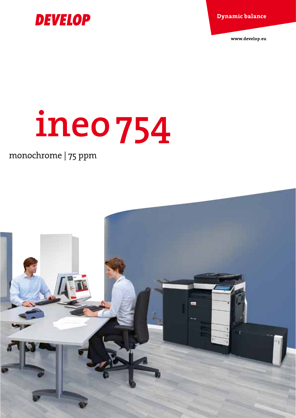**Dynamic balance** 

www.develop.eu



# **ineo754**

### monochrome | 75 ppm

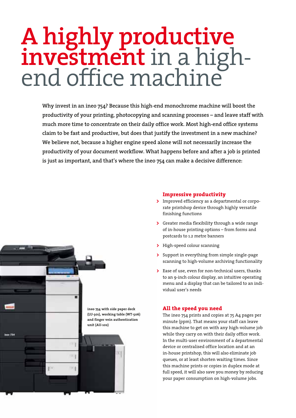## **A highly productive investment** in a high- end office machine

**Why invest in an ineo 754? Because this high-end monochrome machine will boost the productivity of your printing, photocopying and scanning processes – and leave staff with much more time to concentrate on their daily office work. Most high-end office systems claim to be fast and productive, but does that justify the investment in a new machine? We believe not, because a higher engine speed alone will not necessarily increase the productivity of your document workflow. What happens before and after a job is printed is just as important, and that's where the ineo 754 can make a decisive difference:**



#### **Impressive productivity**

- **>**  Improved efficiency as a departmental or corporate printshop device through highly versatile finishing functions
- **>**  Greater media flexibility through a wide range of in-house printing options – from forms and postcards to 1.2 metre banners
- **>**  High-speed colour scanning
- **>**  Support in everything from simple single-page scanning to high-volume archiving functionality
- **>**  Ease of use, even for non-technical users, thanks to an 9-inch colour display, an intuitive operating menu and a display that can be tailored to an individual user's needs

#### **All the speed you need**

The ineo 754 prints and copies at 75 A4 pages per minute (ppm). That means your staff can leave this machine to get on with any high-volume job while they carry on with their daily office work. In the multi-user environment of a departmental device or centralised office location and at an in-house printshop, this will also eliminate job queues, or at least shorten waiting times. Since this machine prints or copies in duplex mode at full speed, it will also save you money by reducing your paper consumption on high-volume jobs.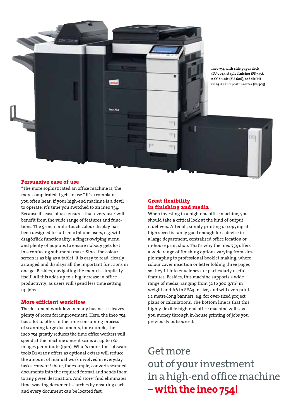

**ineo 754 with side paper deck (LU-204), staple finisher (FS-535), z-fold unit (ZU-606), saddle kit (SD-512) and post inserter (PI-505)**

#### **Persuasive ease of use**

"The more sophisticated an office machine is, the more complicated it gets to use." It's a complaint you often hear. If your high-end machine is a devil to operate, it's time you switched to an ineo 754. Because its ease of use ensures that every user will benefit from the wide range of features and functions. The 9-inch multi-touch colour display has been designed to suit smartphone users, e.g. with drag&flick functionality, a finger-swiping menu and plenty of pop-ups to ensure nobody gets lost in a confusing sub-menu maze. Since the colour screen is as big as a tablet, it is easy to read, clearly arranged and displays all the important functions in one go. Besides, navigating the menu is simplicity itself. All this adds up to a big increase in office productivity, as users will spend less time setting up jobs.

#### **More efficient workflow**

The document workflow in many businesses leaves plenty of room for improvement. Here, the ineo 754 has a lot to offer. In the time-consuming process of scanning large documents, for example, the ineo 754 greatly reduces the time office workers will spend at the machine since it scans at up to 180 images per minute (ipm). What's more, the software tools Develop offers as optional extras will reduce the amount of manual work involved in everyday tasks. convert+share, for example, converts scanned documents into the required format and sends them to any given destination. And store+find eliminates time-wasting document searches by ensuring each and every document can be located fast.

#### **Great flexibility in finishing and media**

When investing in a high-end office machine, you should take a critical look at the kind of output it delivers. After all, simply printing or copying at high speed is rarely good enough for a device in a large department, centralised office location or in-house print shop. That's why the ineo 754 offers a wide range of finishing options varying from simple stapling to professional booklet making, where colour cover insertion or letter folding three pages so they fit into envelopes are particularly useful features. Besides, this machine supports a wide range of media, ranging from 52 to 300 g/m<sup>2</sup> in weight and A6 to SRA3 in size, and will even print 1.2 metre-long banners, e.g. for over-sized project plans or calculations. The bottom line is that this highly flexible high-end office machine will save you money through in-house printing of jobs you previously outsourced.

Get more out of your investment in a high-end office machine – **withthe ineo 754!**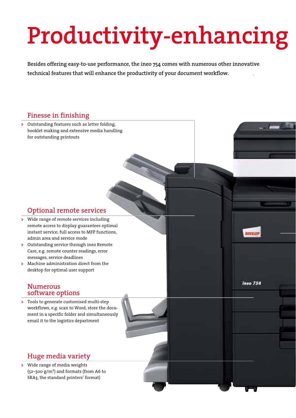## **Productivity-enhancing**

**Besides offering easy-to-use performance, the ineo 754 comes with numerous other innovative technical features that will enhance the productivity of your document workflow.** 

#### Finesse in finishing

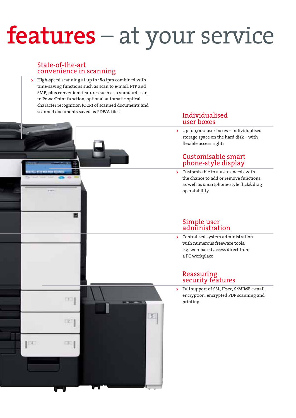## **features** – at your service

#### State-of-the-art convenience in scanning

冒

**DOLE** 

 $211$ 

 $1311$ 

EX.

**>**  High-speed scanning at up to 180 ipm combined with time-saving functions such as scan to e-mail, FTP and SMP, plus convenient features such as a standard scan to PowerPoint function, optional automatic optical character recognition (OCR) of scanned documents and scanned documents saved as PDF/A files **Individualised** 

### user boxes

**>**  Up to 1,000 user boxes – individualised storage space on the hard disk – with flexible access rights

#### Customisable smart phone-style display

**>**  Customisable to a user's needs with the chance to add or remove functions, as well as smartphone-style flick&drag operatability

#### Simple user administration

**>**  Centralised system administration with numerous freeware tools, e.g. web-based access direct from a PC workplace

#### Reassuring security features

5

**>**  Full support of SSL, IPsec, S/MIME e-mail encryption, encrypted PDF scanning and printing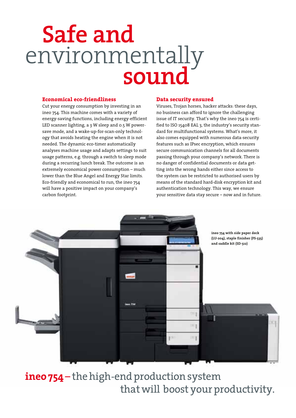## **Safe and**  environmentally **sound**

#### **Economical eco-friendliness**

Cut your energy consumption by investing in an ineo 754. This machine comes with a variety of energy-saving functions, including energy-efficient LED scanner lighting, a 3 W sleep and 0.5 W powersave mode, and a wake-up-for-scan-only technology that avoids heating the engine when it is not needed. The dynamic eco-timer automatically analyses machine usage and adapts settings to suit usage patterns, e.g. through a switch to sleep mode during a recurring lunch break. The outcome is an extremely economical power consumption – much lower than the Blue Angel and Energy Star limits. Eco-friendly and economical to run, the ineo 754 will have a positive impact on your company's carbon footprint.

#### **Data security ensured**

Viruses, Trojan horses, hacker attacks: these days, no business can afford to ignore the challenging issue of IT security. That's why the ineo 754 is certified to ISO 15408 EAL 3, the industry's security standard for multifunctional systems. What's more, it also comes equipped with numerous data-security features such as IPsec encryption, which ensures secure communication channels for all documents passing through your company's network. There is no danger of confidential documents or data getting into the wrong hands either since access to the system can be restricted to authorised users by means of the standard hard-disk encryption kit and authentication technology. This way, we ensure your sensitive data stay secure – now and in future.



**ineo 754** – the high-end production system that will boost your productivity.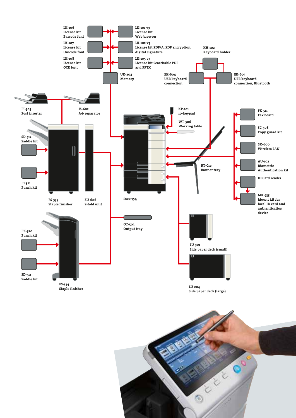